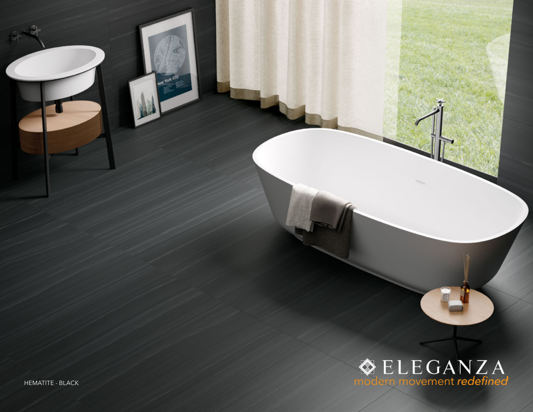